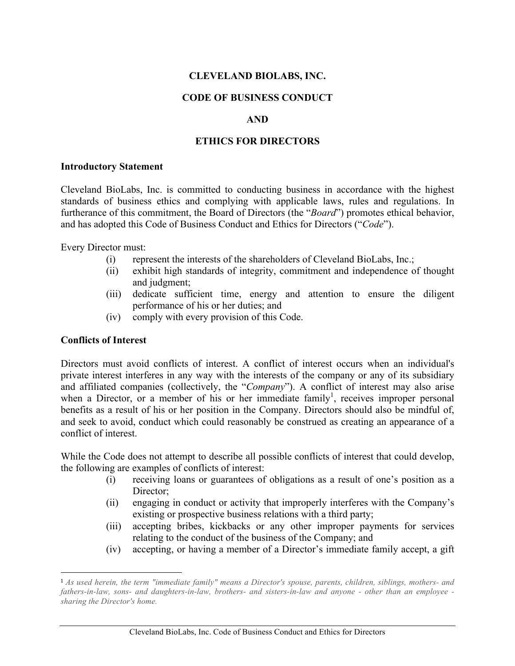## **CLEVELAND BIOLABS, INC.**

### **CODE OF BUSINESS CONDUCT**

### **AND**

### **ETHICS FOR DIRECTORS**

#### **Introductory Statement**

Cleveland BioLabs, Inc. is committed to conducting business in accordance with the highest standards of business ethics and complying with applicable laws, rules and regulations. In furtherance of this commitment, the Board of Directors (the "*Board*") promotes ethical behavior, and has adopted this Code of Business Conduct and Ethics for Directors ("*Code*").

Every Director must:

- (i) represent the interests of the shareholders of Cleveland BioLabs, Inc.;
- (ii) exhibit high standards of integrity, commitment and independence of thought and judgment;
- (iii) dedicate sufficient time, energy and attention to ensure the diligent performance of his or her duties; and
- (iv) comply with every provision of this Code.

## **Conflicts of Interest**

 

Directors must avoid conflicts of interest. A conflict of interest occurs when an individual's private interest interferes in any way with the interests of the company or any of its subsidiary and affiliated companies (collectively, the "*Company*"). A conflict of interest may also arise when a Director, or a member of his or her immediate family<sup>1</sup>, receives improper personal benefits as a result of his or her position in the Company. Directors should also be mindful of, and seek to avoid, conduct which could reasonably be construed as creating an appearance of a conflict of interest.

While the Code does not attempt to describe all possible conflicts of interest that could develop, the following are examples of conflicts of interest:

- (i) receiving loans or guarantees of obligations as a result of one's position as a Director:
- (ii) engaging in conduct or activity that improperly interferes with the Company's existing or prospective business relations with a third party;
- (iii) accepting bribes, kickbacks or any other improper payments for services relating to the conduct of the business of the Company; and
- (iv) accepting, or having a member of a Director's immediate family accept, a gift

<sup>1</sup> *As used herein, the term "immediate family" means a Director's spouse, parents, children, siblings, mothers- and fathers-in-law, sons- and daughters-in-law, brothers- and sisters-in-law and anyone - other than an employee sharing the Director's home.*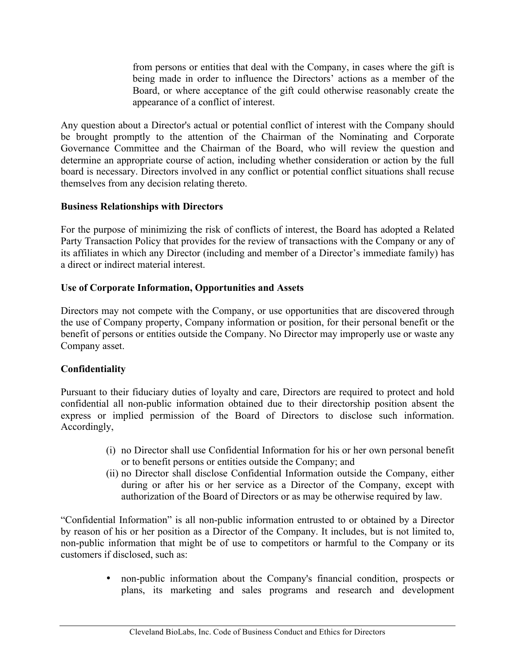from persons or entities that deal with the Company, in cases where the gift is being made in order to influence the Directors' actions as a member of the Board, or where acceptance of the gift could otherwise reasonably create the appearance of a conflict of interest.

Any question about a Director's actual or potential conflict of interest with the Company should be brought promptly to the attention of the Chairman of the Nominating and Corporate Governance Committee and the Chairman of the Board, who will review the question and determine an appropriate course of action, including whether consideration or action by the full board is necessary. Directors involved in any conflict or potential conflict situations shall recuse themselves from any decision relating thereto.

## **Business Relationships with Directors**

For the purpose of minimizing the risk of conflicts of interest, the Board has adopted a Related Party Transaction Policy that provides for the review of transactions with the Company or any of its affiliates in which any Director (including and member of a Director's immediate family) has a direct or indirect material interest.

# **Use of Corporate Information, Opportunities and Assets**

Directors may not compete with the Company, or use opportunities that are discovered through the use of Company property, Company information or position, for their personal benefit or the benefit of persons or entities outside the Company. No Director may improperly use or waste any Company asset.

# **Confidentiality**

Pursuant to their fiduciary duties of loyalty and care, Directors are required to protect and hold confidential all non-public information obtained due to their directorship position absent the express or implied permission of the Board of Directors to disclose such information. Accordingly,

- (i) no Director shall use Confidential Information for his or her own personal benefit or to benefit persons or entities outside the Company; and
- (ii) no Director shall disclose Confidential Information outside the Company, either during or after his or her service as a Director of the Company, except with authorization of the Board of Directors or as may be otherwise required by law.

"Confidential Information" is all non-public information entrusted to or obtained by a Director by reason of his or her position as a Director of the Company. It includes, but is not limited to, non-public information that might be of use to competitors or harmful to the Company or its customers if disclosed, such as:

> • non-public information about the Company's financial condition, prospects or plans, its marketing and sales programs and research and development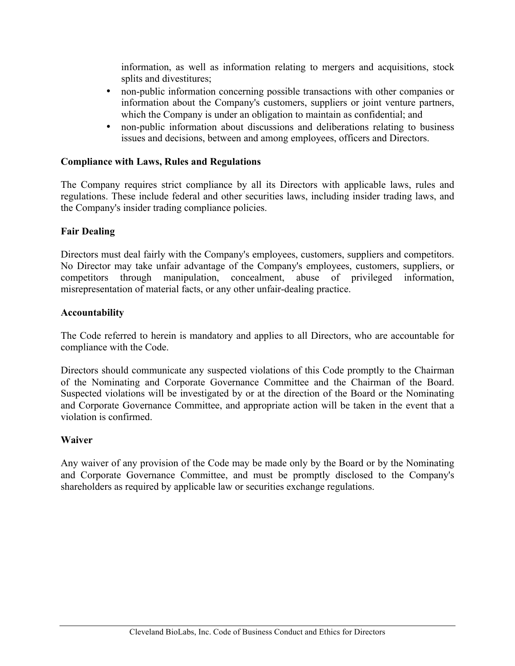information, as well as information relating to mergers and acquisitions, stock splits and divestitures;

- non-public information concerning possible transactions with other companies or information about the Company's customers, suppliers or joint venture partners, which the Company is under an obligation to maintain as confidential; and
- non-public information about discussions and deliberations relating to business issues and decisions, between and among employees, officers and Directors.

### **Compliance with Laws, Rules and Regulations**

The Company requires strict compliance by all its Directors with applicable laws, rules and regulations. These include federal and other securities laws, including insider trading laws, and the Company's insider trading compliance policies.

### **Fair Dealing**

Directors must deal fairly with the Company's employees, customers, suppliers and competitors. No Director may take unfair advantage of the Company's employees, customers, suppliers, or competitors through manipulation, concealment, abuse of privileged information, misrepresentation of material facts, or any other unfair-dealing practice.

### **Accountability**

The Code referred to herein is mandatory and applies to all Directors, who are accountable for compliance with the Code.

Directors should communicate any suspected violations of this Code promptly to the Chairman of the Nominating and Corporate Governance Committee and the Chairman of the Board. Suspected violations will be investigated by or at the direction of the Board or the Nominating and Corporate Governance Committee, and appropriate action will be taken in the event that a violation is confirmed.

### **Waiver**

Any waiver of any provision of the Code may be made only by the Board or by the Nominating and Corporate Governance Committee, and must be promptly disclosed to the Company's shareholders as required by applicable law or securities exchange regulations.